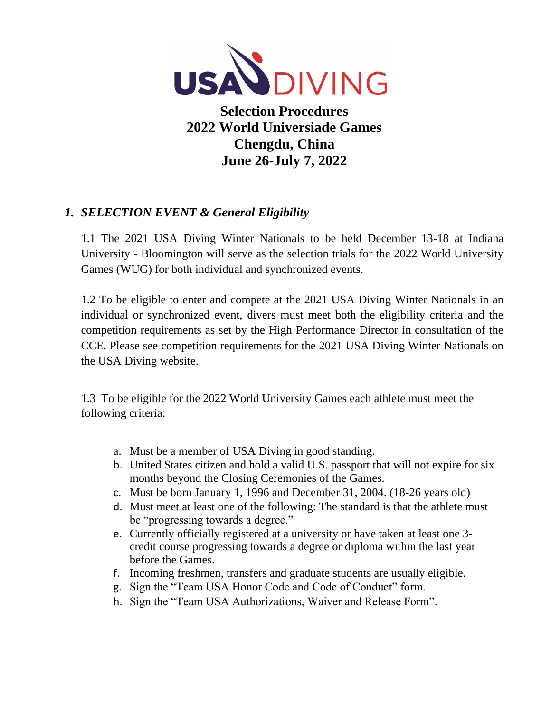

**Selection Procedures 2022 World Universiade Games Chengdu, China June 26-July 7, 2022**

# *1. SELECTION EVENT & General Eligibility*

1.1 The 2021 USA Diving Winter Nationals to be held December 13-18 at Indiana University - Bloomington will serve as the selection trials for the 2022 World University Games (WUG) for both individual and synchronized events.

1.2 To be eligible to enter and compete at the 2021 USA Diving Winter Nationals in an individual or synchronized event, divers must meet both the eligibility criteria and the competition requirements as set by the High Performance Director in consultation of the CCE. Please see competition requirements for the 2021 USA Diving Winter Nationals on the USA Diving website.

1.3 To be eligible for the 2022 World University Games each athlete must meet the following criteria:

- a. Must be a member of USA Diving in good standing.
- b. United States citizen and hold a valid U.S. passport that will not expire for six months beyond the Closing Ceremonies of the Games.
- c. Must be born January 1, 1996 and December 31, 2004. (18-26 years old)
- d. Must meet at least one of the following: The standard is that the athlete must be "progressing towards a degree."
- e. Currently officially registered at a university or have taken at least one 3 credit course progressing towards a degree or diploma within the last year before the Games.
- f. Incoming freshmen, transfers and graduate students are usually eligible.
- g. Sign the "Team USA Honor Code and Code of Conduct" form.
- h. Sign the "Team USA Authorizations, Waiver and Release Form".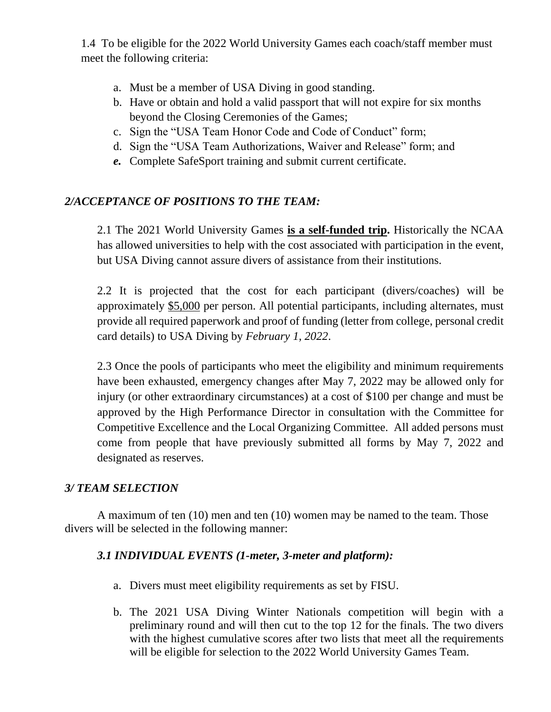1.4 To be eligible for the 2022 World University Games each coach/staff member must meet the following criteria:

- a. Must be a member of USA Diving in good standing.
- b. Have or obtain and hold a valid passport that will not expire for six months beyond the Closing Ceremonies of the Games;
- c. Sign the "USA Team Honor Code and Code of Conduct" form;
- d. Sign the "USA Team Authorizations, Waiver and Release" form; and
- *e.* Complete SafeSport training and submit current certificate.

## *2/ACCEPTANCE OF POSITIONS TO THE TEAM:*

2.1 The 2021 World University Games **is a self-funded trip.** Historically the NCAA has allowed universities to help with the cost associated with participation in the event, but USA Diving cannot assure divers of assistance from their institutions.

2.2 It is projected that the cost for each participant (divers/coaches) will be approximately \$5,000 per person. All potential participants, including alternates, must provide all required paperwork and proof of funding (letter from college, personal credit card details) to USA Diving by *February 1, 2022*.

2.3 Once the pools of participants who meet the eligibility and minimum requirements have been exhausted, emergency changes after May 7, 2022 may be allowed only for injury (or other extraordinary circumstances) at a cost of \$100 per change and must be approved by the High Performance Director in consultation with the Committee for Competitive Excellence and the Local Organizing Committee. All added persons must come from people that have previously submitted all forms by May 7, 2022 and designated as reserves.

## *3/ TEAM SELECTION*

A maximum of ten (10) men and ten (10) women may be named to the team. Those divers will be selected in the following manner:

## *3.1 INDIVIDUAL EVENTS (1-meter, 3-meter and platform):*

- a. Divers must meet eligibility requirements as set by FISU.
- b. The 2021 USA Diving Winter Nationals competition will begin with a preliminary round and will then cut to the top 12 for the finals. The two divers with the highest cumulative scores after two lists that meet all the requirements will be eligible for selection to the 2022 World University Games Team.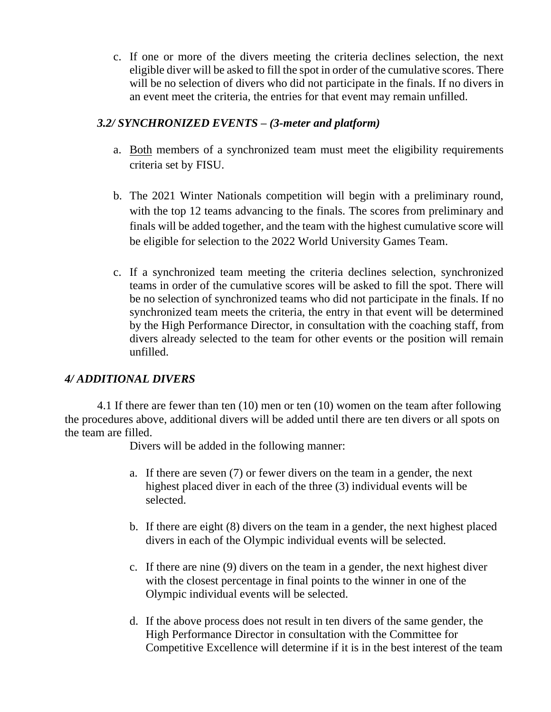c. If one or more of the divers meeting the criteria declines selection, the next eligible diver will be asked to fill the spot in order of the cumulative scores. There will be no selection of divers who did not participate in the finals. If no divers in an event meet the criteria, the entries for that event may remain unfilled.

#### *3.2/ SYNCHRONIZED EVENTS – (3-meter and platform)*

- a. Both members of a synchronized team must meet the eligibility requirements criteria set by FISU.
- b. The 2021 Winter Nationals competition will begin with a preliminary round, with the top 12 teams advancing to the finals. The scores from preliminary and finals will be added together, and the team with the highest cumulative score will be eligible for selection to the 2022 World University Games Team.
- c. If a synchronized team meeting the criteria declines selection, synchronized teams in order of the cumulative scores will be asked to fill the spot. There will be no selection of synchronized teams who did not participate in the finals. If no synchronized team meets the criteria, the entry in that event will be determined by the High Performance Director, in consultation with the coaching staff, from divers already selected to the team for other events or the position will remain unfilled.

## *4/ ADDITIONAL DIVERS*

4.1 If there are fewer than ten (10) men or ten (10) women on the team after following the procedures above, additional divers will be added until there are ten divers or all spots on the team are filled.

Divers will be added in the following manner:

- a. If there are seven (7) or fewer divers on the team in a gender, the next highest placed diver in each of the three (3) individual events will be selected.
- b. If there are eight (8) divers on the team in a gender, the next highest placed divers in each of the Olympic individual events will be selected.
- c. If there are nine (9) divers on the team in a gender, the next highest diver with the closest percentage in final points to the winner in one of the Olympic individual events will be selected.
- d. If the above process does not result in ten divers of the same gender, the High Performance Director in consultation with the Committee for Competitive Excellence will determine if it is in the best interest of the team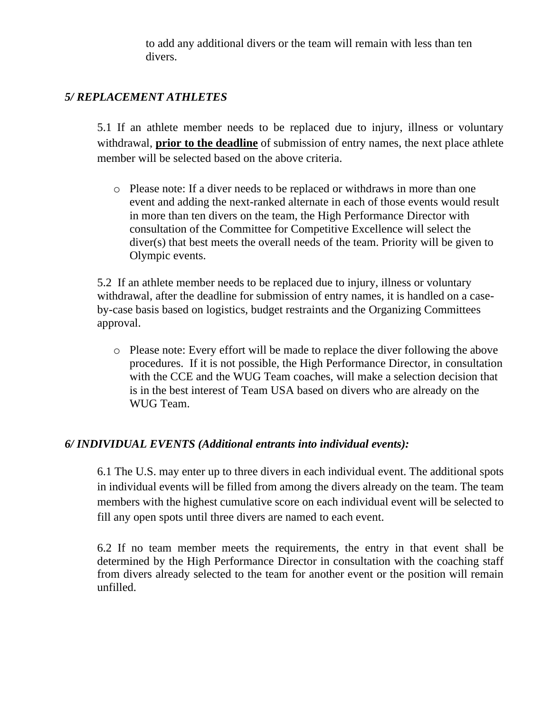to add any additional divers or the team will remain with less than ten divers.

## *5/ REPLACEMENT ATHLETES*

5.1 If an athlete member needs to be replaced due to injury, illness or voluntary withdrawal, **prior to the deadline** of submission of entry names, the next place athlete member will be selected based on the above criteria.

o Please note: If a diver needs to be replaced or withdraws in more than one event and adding the next-ranked alternate in each of those events would result in more than ten divers on the team, the High Performance Director with consultation of the Committee for Competitive Excellence will select the diver(s) that best meets the overall needs of the team. Priority will be given to Olympic events.

5.2 If an athlete member needs to be replaced due to injury, illness or voluntary withdrawal, after the deadline for submission of entry names, it is handled on a caseby-case basis based on logistics, budget restraints and the Organizing Committees approval.

o Please note: Every effort will be made to replace the diver following the above procedures. If it is not possible, the High Performance Director, in consultation with the CCE and the WUG Team coaches, will make a selection decision that is in the best interest of Team USA based on divers who are already on the WUG Team.

#### *6/ INDIVIDUAL EVENTS (Additional entrants into individual events):*

6.1 The U.S. may enter up to three divers in each individual event. The additional spots in individual events will be filled from among the divers already on the team. The team members with the highest cumulative score on each individual event will be selected to fill any open spots until three divers are named to each event.

6.2 If no team member meets the requirements, the entry in that event shall be determined by the High Performance Director in consultation with the coaching staff from divers already selected to the team for another event or the position will remain unfilled.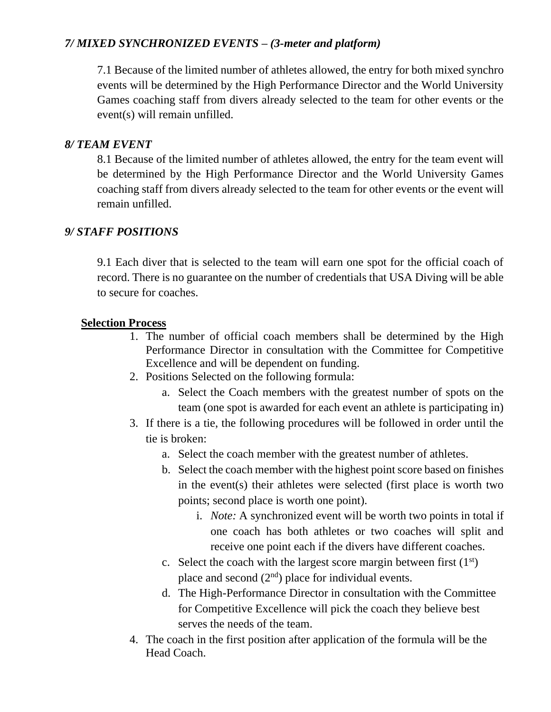## *7/ MIXED SYNCHRONIZED EVENTS – (3-meter and platform)*

7.1 Because of the limited number of athletes allowed, the entry for both mixed synchro events will be determined by the High Performance Director and the World University Games coaching staff from divers already selected to the team for other events or the event(s) will remain unfilled.

#### *8/ TEAM EVENT*

8.1 Because of the limited number of athletes allowed, the entry for the team event will be determined by the High Performance Director and the World University Games coaching staff from divers already selected to the team for other events or the event will remain unfilled.

## *9/ STAFF POSITIONS*

9.1 Each diver that is selected to the team will earn one spot for the official coach of record. There is no guarantee on the number of credentials that USA Diving will be able to secure for coaches.

#### **Selection Process**

- 1. The number of official coach members shall be determined by the High Performance Director in consultation with the Committee for Competitive Excellence and will be dependent on funding.
- 2. Positions Selected on the following formula:
	- a. Select the Coach members with the greatest number of spots on the team (one spot is awarded for each event an athlete is participating in)
- 3. If there is a tie, the following procedures will be followed in order until the tie is broken:
	- a. Select the coach member with the greatest number of athletes.
	- b. Select the coach member with the highest point score based on finishes in the event(s) their athletes were selected (first place is worth two points; second place is worth one point).
		- i. *Note:* A synchronized event will be worth two points in total if one coach has both athletes or two coaches will split and receive one point each if the divers have different coaches.
	- c. Select the coach with the largest score margin between first  $(1<sup>st</sup>)$ place and second  $(2<sup>nd</sup>)$  place for individual events.
	- d. The High-Performance Director in consultation with the Committee for Competitive Excellence will pick the coach they believe best serves the needs of the team.
- 4. The coach in the first position after application of the formula will be the Head Coach.